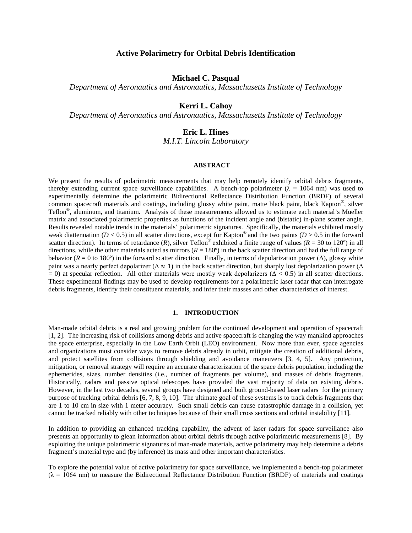# **Active Polarimetry for Orbital Debris Identification**

# **Michael C. Pasqual**

*Department of Aeronautics and Astronautics, Massachusetts Institute of Technology*

# **Kerri L. Cahoy**

*Department of Aeronautics and Astronautics, Massachusetts Institute of Technology*

# **Eric L. Hines**

*M.I.T. Lincoln Laboratory*

#### **ABSTRACT**

We present the results of polarimetric measurements that may help remotely identify orbital debris fragments, thereby extending current space surveillance capabilities. A bench-top polarimeter ( $\lambda = 1064$  nm) was used to experimentally determine the polarimetric Bidirectional Reflectance Distribution Function (BRDF) of several common spacecraft materials and coatings, including glossy white paint, matte black paint, black Kapton®, silver Teflon®, aluminum, and titanium. Analysis of these measurements allowed us to estimate each material's Mueller matrix and associated polarimetric properties as functions of the incident angle and (bistatic) in-plane scatter angle. Results revealed notable trends in the materials' polarimetric signatures. Specifically, the materials exhibited mostly weak diattenuation ( $D < 0.5$ ) in all scatter directions, except for Kapton<sup>®</sup> and the two paints ( $D > 0.5$  in the forward scatter direction). In terms of retardance  $(R)$ , silver Teflon<sup>®</sup> exhibited a finite range of values  $(R = 30$  to 120<sup>o</sup>) in all directions, while the other materials acted as mirrors  $(R = 180^\circ)$  in the back scatter direction and had the full range of behavior ( $R = 0$  to 180<sup>o</sup>) in the forward scatter direction. Finally, in terms of depolarization power ( $\Delta$ ), glossy white paint was a nearly perfect depolarizer ( $\Delta \approx 1$ ) in the back scatter direction, but sharply lost depolarization power ( $\Delta$  $= 0$ ) at specular reflection. All other materials were mostly weak depolarizers ( $\Delta < 0.5$ ) in all scatter directions. These experimental findings may be used to develop requirements for a polarimetric laser radar that can interrogate debris fragments, identify their constituent materials, and infer their masses and other characteristics of interest.

# **1. INTRODUCTION**

Man-made orbital debris is a real and growing problem for the continued development and operation of spacecraft [1, 2]. The increasing risk of collisions among debris and active spacecraft is changing the way mankind approaches the space enterprise, especially in the Low Earth Orbit (LEO) environment. Now more than ever, space agencies and organizations must consider ways to remove debris already in orbit, mitigate the creation of additional debris, and protect satellites from collisions through shielding and avoidance maneuvers [3, 4, 5]. Any protection, mitigation, or removal strategy will require an accurate characterization of the space debris population, including the ephemerides, sizes, number densities (i.e., number of fragments per volume), and masses of debris fragments. Historically, radars and passive optical telescopes have provided the vast majority of data on existing debris. However, in the last two decades, several groups have designed and built ground-based laser radars for the primary purpose of tracking orbital debris [6, 7, 8, 9, 10]. The ultimate goal of these systems is to track debris fragments that are 1 to 10 cm in size with 1 meter accuracy. Such small debris can cause catastrophic damage in a collision, yet cannot be tracked reliably with other techniques because of their small cross sections and orbital instability [11].

In addition to providing an enhanced tracking capability, the advent of laser radars for space surveillance also presents an opportunity to glean information about orbital debris through active polarimetric measurements [8]. By exploiting the unique polarimetric signatures of man-made materials, active polarimetry may help determine a debris fragment's material type and (by inference) its mass and other important characteristics.

To explore the potential value of active polarimetry for space surveillance, we implemented a bench-top polarimeter  $(\lambda = 1064$  nm) to measure the Bidirectional Reflectance Distribution Function (BRDF) of materials and coatings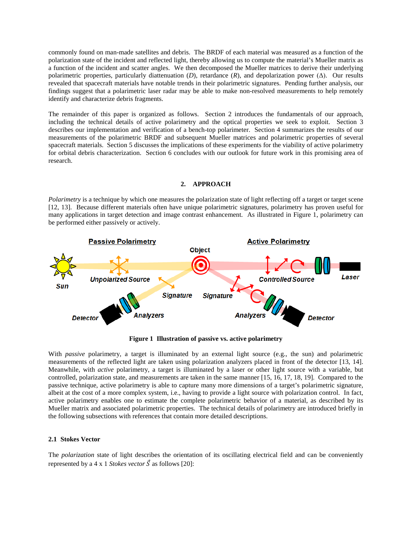commonly found on man-made satellites and debris. The BRDF of each material was measured as a function of the polarization state of the incident and reflected light, thereby allowing us to compute the material's Mueller matrix as a function of the incident and scatter angles. We then decomposed the Mueller matrices to derive their underlying polarimetric properties, particularly diattenuation  $(D)$ , retardance  $(R)$ , and depolarization power  $(\Delta)$ . Our results revealed that spacecraft materials have notable trends in their polarimetric signatures. Pending further analysis, our findings suggest that a polarimetric laser radar may be able to make non-resolved measurements to help remotely identify and characterize debris fragments.

The remainder of this paper is organized as follows. Section 2 introduces the fundamentals of our approach, including the technical details of active polarimetry and the optical properties we seek to exploit. Section 3 describes our implementation and verification of a bench-top polarimeter. Section 4 summarizes the results of our measurements of the polarimetric BRDF and subsequent Mueller matrices and polarimetric properties of several spacecraft materials. Section 5 discusses the implications of these experiments for the viability of active polarimetry for orbital debris characterization. Section 6 concludes with our outlook for future work in this promising area of research.

#### **2. APPROACH**

*Polarimetry* is a technique by which one measures the polarization state of light reflecting off a target or target scene [12, 13]. Because different materials often have unique polarimetric signatures, polarimetry has proven useful for many applications in target detection and image contrast enhancement. As illustrated in [Figure 1,](#page-1-0) polarimetry can be performed either passively or actively.



**Figure 1 Illustration of passive vs. active polarimetry**

<span id="page-1-0"></span>With *passive* polarimetry, a target is illuminated by an external light source (e.g., the sun) and polarimetric measurements of the reflected light are taken using polarization analyzers placed in front of the detector [13, 14]. Meanwhile, with *active* polarimetry, a target is illuminated by a laser or other light source with a variable, but controlled, polarization state, and measurements are taken in the same manner [15, 16, 17, 18, 19]. Compared to the passive technique, active polarimetry is able to capture many more dimensions of a target's polarimetric signature, albeit at the cost of a more complex system, i.e., having to provide a light source with polarization control. In fact, active polarimetry enables one to estimate the complete polarimetric behavior of a material, as described by its Mueller matrix and associated polarimetric properties. The technical details of polarimetry are introduced briefly in the following subsections with references that contain more detailed descriptions.

#### **2.1 Stokes Vector**

The *polarization* state of light describes the orientation of its oscillating electrical field and can be conveniently represented by a 4 x 1 *Stokes vector*  $\vec{S}$  as follows [20]: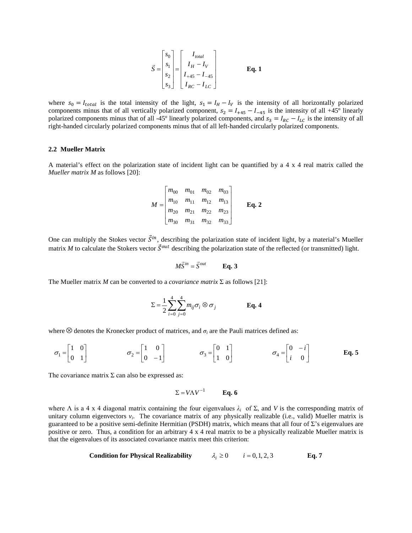$$
\vec{S} = \begin{bmatrix} s_0 \\ s_1 \\ s_2 \\ s_3 \end{bmatrix} = \begin{bmatrix} I_{total} \\ I_H - I_V \\ I_{+45} - I_{-45} \\ I_{RC} - I_{LC} \end{bmatrix}
$$
 Eq. 1

where  $s_0 = I_{total}$  is the total intensity of the light,  $s_1 = I_H - I_V$  is the intensity of all horizontally polarized components minus that of all vertically polarized component,  $s_2 = I_{+45} - I_{-45}$  is the intensity of all +45° linearly polarized components minus that of all -45° linearly polarized components, and  $s_3 = I_{RC} - I_{LC}$  is the intensity of all right-handed circularly polarized components minus that of all left-handed circularly polarized components.

#### **2.2 Mueller Matrix**

A material's effect on the polarization state of incident light can be quantified by a 4 x 4 real matrix called the *Mueller matrix M* as follows [20]:

$$
M = \begin{bmatrix} m_{00} & m_{01} & m_{02} & m_{03} \\ m_{10} & m_{11} & m_{12} & m_{13} \\ m_{20} & m_{21} & m_{22} & m_{23} \\ m_{30} & m_{31} & m_{32} & m_{33} \end{bmatrix}
$$
 Eq. 2

One can multiply the Stokes vector  $\vec{S}^{in}$ , describing the polarization state of incident light, by a material's Mueller matrix *M* to calculate the Stokers vector  $\vec{S}^{out}$  describing the polarization state of the reflected (or transmitted) light.

$$
M\vec{S}^{in} = \vec{S}^{out} \qquad \textbf{Eq. 3}
$$

The Mueller matrix *M* can be converted to a *covariance matrix*  $\Sigma$  as follows [21]:

$$
\Sigma = \frac{1}{2} \sum_{i=0}^{4} \sum_{j=0}^{4} m_{ij} \sigma_i \otimes \sigma_j
$$
 Eq. 4

where  $\otimes$  denotes the Kronecker product of matrices, and  $\sigma_i$  are the Pauli matrices defined as:

$$
\sigma_1 = \begin{bmatrix} 1 & 0 \\ 0 & 1 \end{bmatrix} \qquad \qquad \sigma_2 = \begin{bmatrix} 1 & 0 \\ 0 & -1 \end{bmatrix} \qquad \qquad \sigma_3 = \begin{bmatrix} 0 & 1 \\ 1 & 0 \end{bmatrix} \qquad \qquad \sigma_4 = \begin{bmatrix} 0 & -i \\ i & 0 \end{bmatrix} \qquad \qquad \mathbf{Eq. 5}
$$

The covariance matrix  $\Sigma$  can also be expressed as:

$$
\Sigma = V \Lambda V^{-1} \qquad \text{Eq. 6}
$$

where  $\Lambda$  is a 4 x 4 diagonal matrix containing the four eigenvalues  $\lambda_i$  of  $\Sigma$ , and V is the corresponding matrix of unitary column eigenvectors  $v_i$ . The covariance matrix of any physically realizable (i.e., valid) Mueller matrix is guaranteed to be a positive semi-definite Hermitian (PSDH) matrix, which means that all four of  $\Sigma$ 's eigenvalues are positive or zero. Thus, a condition for an arbitrary 4 x 4 real matrix to be a physically realizable Mueller matrix is that the eigenvalues of its associated covariance matrix meet this criterion:

Condition for Physical Realizability 
$$
\lambda_i \ge 0
$$
  $i = 0, 1, 2, 3$  Eq. 7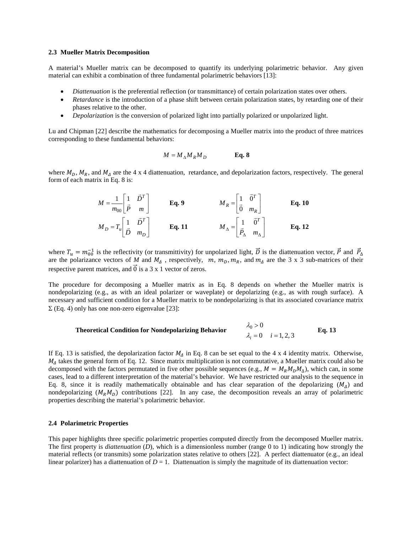#### <span id="page-3-0"></span>**2.3 Mueller Matrix Decomposition**

A material's Mueller matrix can be decomposed to quantify its underlying polarimetric behavior. Any given material can exhibit a combination of three fundamental polarimetric behaviors [13]:

- *Diattenuation* is the preferential reflection (or transmittance) of certain polarization states over others.
- *Retardance* is the introduction of a phase shift between certain polarization states, by retarding one of their phases relative to the other.
- *Depolarization* is the conversion of polarized light into partially polarized or unpolarized light.

Lu and Chipman [22] describe the mathematics for decomposing a Mueller matrix into the product of three matrices corresponding to these fundamental behaviors:

$$
M = M_{\Delta} M_R M_D
$$
 Eq. 8

where  $M_D$ ,  $M_R$ , and  $M_A$  are the 4 x 4 diattenuation, retardance, and depolarization factors, respectively. The general form of each matrix in Eq. 8 is:

$$
M = \frac{1}{m_{00}} \begin{bmatrix} 1 & \vec{D}^T \\ \vec{P} & m \end{bmatrix}
$$
  
\n
$$
M_R = \begin{bmatrix} 1 & \vec{0}^T \\ \vec{0} & m_R \end{bmatrix}
$$
  
\n
$$
M_D = T_u \begin{bmatrix} 1 & \vec{D}^T \\ \vec{D} & m_D \end{bmatrix}
$$
  
\n
$$
\mathbf{Eq. 10}
$$
  
\n
$$
\mathbf{Eq. 11}
$$
  
\n
$$
M_A = \begin{bmatrix} 1 & \vec{0}^T \\ \vec{P}_A & m_A \end{bmatrix}
$$
  
\n
$$
\mathbf{Eq. 12}
$$

where  $T_u = m_{00}^{-1}$  is the reflectivity (or transmittivity) for unpolarized light, D is the diattenuation vector, P and  $P_{\Delta}$ are the polarizance vectors of *M* and  $M_A$ , respectively,  $\dot{m}$ ,  $m_B$ ,  $m_B$ , and  $m_A$  are the 3 x 3 sub-matrices of their respective parent matrices, and  $\overline{0}$  is a 3 x 1 vector of zeros.

The procedure for decomposing a Mueller matrix as in Eq. 8 depends on whether the Mueller matrix is nondepolarizing (e.g., as with an ideal polarizer or waveplate) or depolarizing (e.g., as with rough surface). A necessary and sufficient condition for a Mueller matrix to be nondepolarizing is that its associated covariance matrix  $\Sigma$  (Eq. 4) only has one non-zero eigenvalue [23]:

#### **Theoretical Condition for Nondepolarizing Behavior**  $_{0} > 0$  $= 0$   $i =$ >  $\lambda_i = 0$  *i* λ **Eq. 13**

If Eq. 13 is satisfied, the depolarization factor  $M<sub>4</sub>$  in Eq. 8 can be set equal to the 4 x 4 identity matrix. Otherwise,  $M<sub>A</sub>$  takes the general form of Eq. 12. Since matrix multiplication is not commutative, a Mueller matrix could also be decomposed with the factors permutated in five other possible sequences (e.g.,  $M = M_R M_D M_A$ ), which can, in some cases, lead to a different interpretation of the material's behavior. We have restricted our analysis to the sequence in Eq. 8, since it is readily mathematically obtainable and has clear separation of the depolarizing  $(M<sub>A</sub>)$  and nondepolarizing  $(M_R M_D)$  contributions [22]. In any case, the decomposition reveals an array of polarimetric properties describing the material's polarimetric behavior.

#### **2.4 Polarimetric Properties**

This paper highlights three specific polarimetric properties computed directly from the decomposed Mueller matrix. The first property is *diattenuation* (*D*), which is a dimensionless number (range 0 to 1) indicating how strongly the material reflects (or transmits) some polarization states relative to others [22]. A perfect diattenuator (e.g., an ideal linear polarizer) has a diattenuation of  $D = 1$ . Diattenuation is simply the magnitude of its diattenuation vector: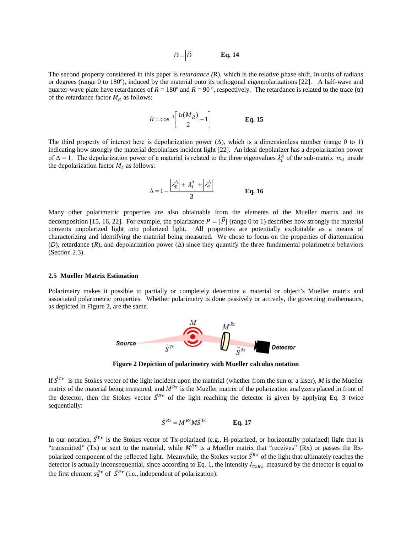$$
D = |\vec{D}| \qquad \textbf{Eq. 14}
$$

The second property considered in this paper is *retardance (*R), which is the relative phase shift, in units of radians or degrees (range 0 to 180º), induced by the material onto its orthogonal eigenpolarizations [22]. A half-wave and quarter-wave plate have retardances of  $R = 180^\circ$  and  $R = 90^\circ$ , respectively. The retardance is related to the trace (tr) of the retardance factor  $M_R$  as follows:

$$
R = \cos^{-1}\left[\frac{\text{tr}(M_R)}{2} - 1\right]
$$
 Eq. 15

The third property of interest here is depolarization power  $(\Delta)$ , which is a dimensionless number (range 0 to 1) indicating how strongly the material depolarizes incident light [22]. An ideal depolarizer has a depolarization power of  $\Delta = 1$ . The depolarization power of a material is related to the three eigenvalues  $\lambda_i^A$  of the sub-matrix  $m_A$  inside the depolarization factor  $M<sub>4</sub>$  as follows:

$$
\Delta = 1 - \frac{\left| \lambda_0^{\Delta} \right| + \left| \lambda_1^{\Delta} \right| + \left| \lambda_2^{\Delta} \right|}{3}
$$
 Eq. 16

Many other polarimetric properties are also obtainable from the elements of the Mueller matrix and its decomposition [15, 16, 22]. For example, the polarizance  $P = |\vec{P}|$  (range 0 to 1) describes how strongly the material converts unpolarized light into polarized light. All properties are potentially exploitable as a means of characterizing and identifying the material being measured. We chose to focus on the properties of diattenuation (*D*), retardance (*R*), and depolarization power ( $\Delta$ ) since they quantify the three fundamental polarimetric behaviors (Section [2.3\)](#page-3-0).

#### **2.5 Mueller Matrix Estimation**

Polarimetry makes it possible to partially or completely determine a material or object's Mueller matrix and associated polarimetric properties. Whether polarimetry is done passively or actively, the governing mathematics, as depicted i[n Figure 2,](#page-4-0) are the same.



**Figure 2 Depiction of polarimetry with Mueller calculus notation**

<span id="page-4-0"></span>If  $\vec{S}^{Tx}$  is the Stokes vector of the light incident upon the material (whether from the sun or a laser), *M* is the Mueller matrix of the material being measured, and  $M^{Rx}$  is the Mueller matrix of the polarization analyzers placed in front of the detector, then the Stokes vector  $\vec{S}^{Rx}$  of the light reaching the detector is given by applying Eq. 3 twice sequentially:

$$
\vec{S}^{Rx} = M^{Rx} M \vec{S}^{Tx}
$$
 Eq. 17

In our notation,  $\vec{S}^{Tx}$  is the Stokes vector of Tx-polarized (e.g., H-polarized, or horizontally polarized) light that is "transmitted" (Tx) or sent to the material, while  $M^{Rx}$  is a Mueller matrix that "receives" (Rx) or passes the Rxpolarized component of the reflected light. Meanwhile, the Stokes vector  $\vec{S}^{Rx}$  of the light that ultimately reaches the detector is actually inconsequential, since according to Eq. 1, the intensity  $I_{TxRx}$  measured by the detector is equal to the first element  $s_0^{Rx}$  of  $\hat{S}^{Rx}$  (i.e., independent of polarization):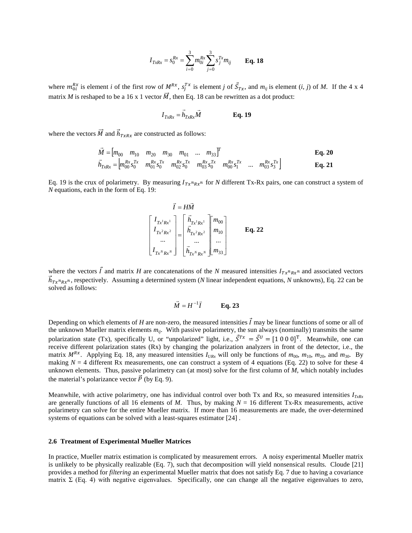$$
I_{TxRx} = s_0^{Rx} = \sum_{i=0}^{3} m_{0i}^{Rx} \sum_{j=0}^{3} s_j^{Tx} m_{ij}
$$
 Eq. 18

where  $m_{0i}^{Rx}$  is element *i* of the first row of  $M^{Rx}$ ,  $s_j^{Tx}$  is element *j* of  $S_{Tx}$ , and  $m_{ij}$  is element (*i*, *j*) of *M*. If the 4 x 4 matrix *M* is reshaped to be a 16 x 1 vector  $\vec{M}$ , then Eq. 18 can be rewritten as a dot product:

$$
I_{TxRx} = \vec{h}_{TxRx}\vec{M}
$$
 Eq. 19

where the vectors  $\dot{M}$  and  $\dot{h}_{TxRx}$  are constructed as follows:

$$
\vec{M} = [m_{00} \quad m_{10} \quad m_{20} \quad m_{30} \quad m_{01} \quad \dots \quad m_{33}]^T
$$
\n
$$
\vec{h}_{TxRx} = [m_{00}^{Rx} s_0^{Tx} \quad m_{01}^{Rx} s_0^{Tx} \quad m_{02}^{Rx} s_0^{Tx} \quad m_{03}^{Rx} s_0^{Tx} \quad m_{00}^{Rx} s_1^{Tx} \quad \dots \quad m_{03}^{Rx} s_3^{Tx}]
$$
\nEq. 21

Eq. 19 is the crux of polarimetry. By measuring  $I_{Tx^nRx^n}$  for *N* different Tx-Rx pairs, one can construct a system of *N* equations, each in the form of Eq. 19:

$$
\vec{I} = H\vec{M}
$$
\n
$$
\begin{bmatrix}\nI_{Tx^1Rx^1} \\
I_{Tx^2Rx^2} \\
\vdots \\
I_{Tx^NRx^N}\n\end{bmatrix} = \begin{bmatrix}\n\vec{h}_{Tx^1Rx^1} \\
\vec{h}_{Tx^2Rx^2} \\
\vdots \\
\vec{h}_{Tx^NRx^N}\n\end{bmatrix} \begin{bmatrix}\nm_{00} \\
m_{10} \\
\vdots \\
m_{33}\n\end{bmatrix}
$$
\nEq. 22

where the vectors  $\vec{l}$  and matrix *H* are concatenations of the *N* measured intensities  $I_{T x^n R x^n}$  and associated vectors  $h_{Tx^nRx^n}$ , respectively. Assuming a determined system (*N* linear independent equations, *N* unknowns), Eq. 22 can be solved as follows:

$$
\vec{M} = H^{-1}\vec{I} \qquad \text{Eq. 23}
$$

Depending on which elements of *H* are non-zero, the measured intensities  $\vec{l}$  may be linear functions of some or all of the unknown Mueller matrix elements  $m_{ij}$ . With passive polarimetry, the sun always (nominally) transmits the same polarization state (Tx), specifically U, or "unpolarized" light, i.e.,  $S^{Tx} = S^U = [1 \ 0 \ 0 \ 0]^T$ . Meanwhile, one can receive different polarization states (Rx) by changing the polarization analyzers in front of the detector, i.e., the matrix  $M^{Rx}$ . Applying Eq. 18, any measured intensities  $I_{URx}$  will only be functions of  $m_{00}$ ,  $m_{10}$ ,  $m_{20}$ , and  $m_{30}$ . By making  $N = 4$  different Rx measurements, one can construct a system of 4 equations (Eq. 22) to solve for these 4 unknown elements. Thus, passive polarimetry can (at most) solve for the first column of *M*, which notably includes the material's polarizance vector  $\vec{P}$  (by Eq. 9).

Meanwhile, with active polarimetry, one has individual control over both Tx and Rx, so measured intensities  $I_{T_xR_x}$ are generally functions of all 16 elements of *M*. Thus, by making *N* = 16 different Tx-Rx measurements, active polarimetry can solve for the entire Mueller matrix. If more than 16 measurements are made, the over-determined systems of equations can be solved with a least-squares estimator [24] .

#### <span id="page-5-0"></span>**2.6 Treatment of Experimental Mueller Matrices**

In practice, Mueller matrix estimation is complicated by measurement errors. A noisy experimental Mueller matrix is unlikely to be physically realizable (Eq. 7), such that decomposition will yield nonsensical results. Cloude [21] provides a method for *filtering* an experimental Mueller matrix that does not satisfy Eq. 7 due to having a covariance matrix Σ (Eq. 4) with negative eigenvalues. Specifically, one can change all the negative eigenvalues to zero,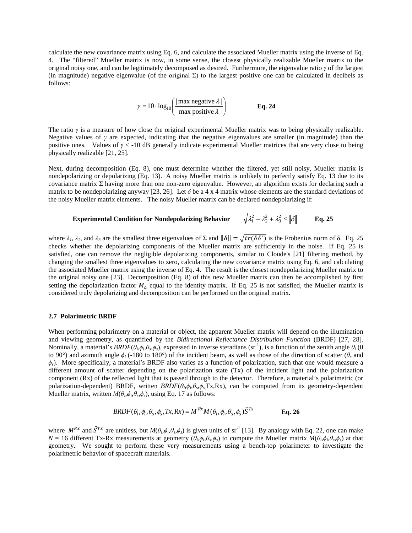calculate the new covariance matrix using Eq. 6, and calculate the associated Mueller matrix using the inverse of Eq. 4. The "filtered" Mueller matrix is now, in some sense, the closest physically realizable Mueller matrix to the original noisy one, and can be legitimately decomposed as desired. Furthermore, the eigenvalue ratio *γ* of the largest (in magnitude) negative eigenvalue (of the original  $\Sigma$ ) to the largest positive one can be calculated in decibels as follows:

$$
\gamma = 10 \cdot \log_{10} \left( \frac{|\max \text{ negative } \lambda|}{\max \text{ positive } \lambda} \right) \qquad \qquad \text{Eq. 24}
$$

The ratio  $\gamma$  is a measure of how close the original experimental Mueller matrix was to being physically realizable. Negative values of  $\gamma$  are expected, indicating that the negative eigenvalues are smaller (in magnitude) than the positive ones. Values of *γ* < -10 dB generally indicate experimental Mueller matrices that are very close to being physically realizable [21, 25].

Next, during decomposition (Eq. 8), one must determine whether the filtered, yet still noisy, Mueller matrix is nondepolarizing or depolarizing (Eq. 13). A noisy Mueller matrix is unlikely to perfectly satisfy Eq. 13 due to its covariance matrix  $\Sigma$  having more than one non-zero eigenvalue. However, an algorithm exists for declaring such a matrix to be nondepolarizing anyway [23, 26]. Let  $\delta$  be a 4 x 4 matrix whose elements are the standard deviations of the noisy Mueller matrix elements. The noisy Mueller matrix can be declared nondepolarizing if:

#### **Experimental Condition for Nondepolarizing Behavior**  $2_1^2 + \lambda_2^2 + \lambda_3^2 \le ||\delta||$  **Eq. 25**

where  $\lambda_1$ ,  $\lambda_2$ , and  $\lambda_3$  are the smallest three eigenvalues of  $\Sigma$  and  $\|\delta\| = \sqrt{tr(\delta\delta')}$  is the Frobenius norm of  $\delta$ . Eq. 25 checks whether the depolarizing components of the Mueller matrix are sufficiently in the noise. If Eq. 25 is satisfied, one can remove the negligible depolarizing components, similar to Cloude's [21] filtering method, by changing the smallest three eigenvalues to zero, calculating the new covariance matrix using Eq. 6, and calculating the associated Mueller matrix using the inverse of Eq. 4. The result is the closest nondepolarizing Mueller matrix to the original noisy one [23]. Decomposition (Eq. 8) of this new Mueller matrix can then be accomplished by first setting the depolarization factor  $M_A$  equal to the identity matrix. If Eq. 25 is not satisfied, the Mueller matrix is considered truly depolarizing and decomposition can be performed on the original matrix.

#### **2.7 Polarimetric BRDF**

When performing polarimetry on a material or object, the apparent Mueller matrix will depend on the illumination and viewing geometry, as quantified by the *Bidirectional Reflectance Distribution Function* (BRDF) [27, 28]. Nominally, a material's  $BRDF(\theta_i, \phi_i, \theta_s, \phi_s)$ , expressed in inverse steradians (sr<sup>-1</sup>), is a function of the zenith angle  $\theta_i$  (0 to 90°) and azimuth angle  $φ<sub>i</sub>$  (-180 to 180°) of the incident beam, as well as those of the direction of scatter ( $θ<sub>s</sub>$  and  $\phi_s$ ). More specifically, a material's BRDF also varies as a function of polarization, such that one would measure a different amount of scatter depending on the polarization state (Tx) of the incident light and the polarization component (Rx) of the reflected light that is passed through to the detector. Therefore, a material's polarimetric (or polarization-dependent) BRDF, written *BRDF*(*θi*,*ϕi*,*θs*,*ϕ<sup>s</sup>*, Tx,Rx), can be computed from its geometry-dependent Mueller matrix, written  $M(\theta_i, \phi_i, \theta_s, \phi_s)$ , using Eq. 17 as follows:

$$
BRDF(\theta_i, \phi_i, \theta_s, \phi_s, Tx, Rx) = M^{Rx} M(\theta_i, \phi_i, \theta_s, \phi_s) \vec{S}^{Tx}
$$
**Eq. 26**

where  $M^{Rx}$  and  $\vec{S}^{Tx}$  are unitless, but  $M(\theta_i, \phi_i, \theta_s, \phi_s)$  is given units of sr<sup>-1</sup> [13]. By analogy with Eq. 22, one can make  $N = 16$  different Tx-Rx measurements at geometry  $(\theta_i, \phi_i, \theta_s, \phi_s)$  to compute the Mueller matrix  $M(\theta_i, \phi_i, \theta_s, \phi_s)$  at that geometry. We sought to perform these very measurements using a bench-top polarimeter to investigate the polarimetric behavior of spacecraft materials.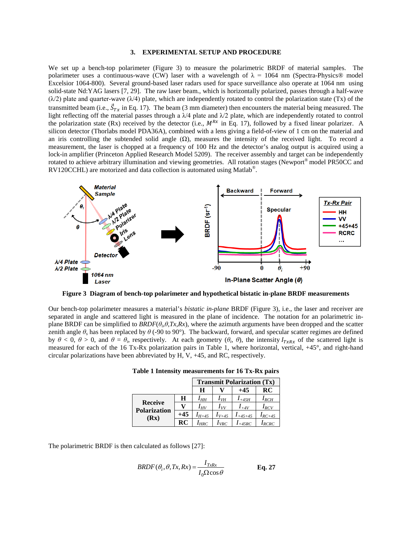## **3. EXPERIMENTAL SETUP AND PROCEDURE**

We set up a bench-top polarimeter [\(Figure 3\)](#page-7-0) to measure the polarimetric BRDF of material samples. The polarimeter uses a continuous-wave (CW) laser with a wavelength of  $\lambda = 1064$  nm (Spectra-Physics® model Excelsior 1064-800). Several ground-based laser radars used for space surveillance also operate at 1064 nm using solid-state Nd:YAG lasers [7, 29]. The raw laser beam., which is horizontally polarized, passes through a half-wave  $(\lambda/2)$  plate and quarter-wave  $(\lambda/4)$  plate, which are independently rotated to control the polarization state (Tx) of the transmitted beam (i.e.,  $S_{Tx}$  in Eq. 17). The beam (3 mm diameter) then encounters the material being measured. The light reflecting off the material passes through a  $\lambda$ /4 plate and  $\lambda$ /2 plate, which are independently rotated to control the polarization state (Rx) received by the detector (i.e.,  $M^{Rx}$  in Eq. 17), followed by a fixed linear polarizer. A silicon detector (Thorlabs model PDA36A), combined with a lens giving a field-of-view of 1 cm on the material and an iris controlling the subtended solid angle  $(Ω)$ , measures the intensity of the received light. To record a measurement, the laser is chopped at a frequency of 100 Hz and the detector's analog output is acquired using a lock-in amplifier (Princeton Applied Research Model 5209). The receiver assembly and target can be independently rotated to achieve arbitrary illumination and viewing geometries. All rotation stages (Newport® model PR50CC and RV120CCHL) are motorized and data collection is automated using Matlab®.



<span id="page-7-0"></span>**Figure 3 Diagram of bench-top polarimeter and hypothetical bistatic in-plane BRDF measurements** 

<span id="page-7-1"></span>Our bench-top polarimeter measures a material's *bistatic in-plane* BRDF [\(Figure 3\)](#page-7-0), i.e., the laser and receiver are separated in angle and scattered light is measured in the plane of incidence. The notation for an polarimetric inplane BRDF can be simplified to *BRDF*(*θi*,*θ,Tx,Rx*), where the azimuth arguments have been dropped and the scatter zenith angle  $\theta_s$  has been replaced by  $\theta$  (-90 to 90°). The backward, forward, and specular scatter regimes are defined by  $θ < 0$ ,  $θ > 0$ , and  $θ = θ$ *i*, respectively. At each geometry ( $θ$ *i*,  $θ$ ), the intensity  $I_{TxRx}$  of the scattered light is measured for each of the 16 Tx-Rx polarization pairs in [Table 1,](#page-7-1) where horizontal, vertical, +45°, and right-hand circular polarizations have been abbreviated by H, V, +45, and RC, respectively.

|  | Table 1 Intensity measurements for 16 Tx-Rx pairs |  |  |
|--|---------------------------------------------------|--|--|
|--|---------------------------------------------------|--|--|

|                                               |     | <b>Transmit Polarization (Tx)</b> |            |            |             |  |
|-----------------------------------------------|-----|-----------------------------------|------------|------------|-------------|--|
|                                               |     | Н                                 |            | $+45$      | RC          |  |
| <b>Receive</b><br><b>Polarization</b><br>(Rx) | Н   | Iнн                               | $I_{VH}$   | $I_{+45H}$ | $I_{RCH}$   |  |
|                                               |     | $I_{HV}$                          | $I_{VV}$   | $I_{+4V}$  | $I_{RCV}$   |  |
|                                               | +45 | $I_{H+45}$                        | $1_{V+45}$ | $+45+45$   | $I_{RC+45}$ |  |
|                                               | RC  | $I_{HRC}$                         | URC:       | $-45RC$    | RCRC        |  |

The polarimetric BRDF is then calculated as follows [27]:

$$
BRDF(\theta_i, \theta, Tx, Rx) = \frac{I_{TxRx}}{I_0 \Omega \cos \theta}
$$
 Eq. 27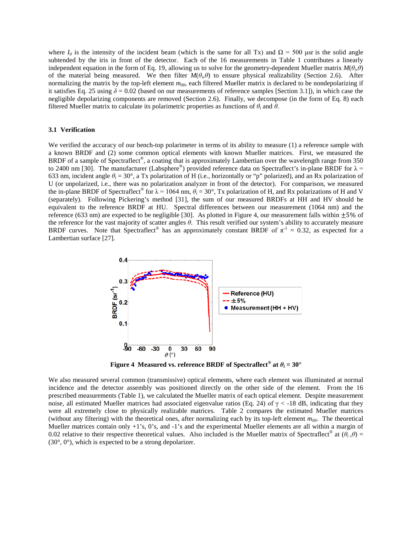where  $I_0$  is the intensity of the incident beam (which is the same for all Tx) and  $\Omega = 500$  µsr is the solid angle subtended by the iris in front of the detector. Each of the 16 measurements in [Table 1](#page-7-1) contributes a linearly independent equation in the form of Eq. 19, allowing us to solve for the geometry-dependent Mueller matrix  $M(\theta_i, \theta)$ of the material being measured. We then filter  $M(\theta_i, \theta)$  to ensure physical realizability (Section [2.6\)](#page-5-0). After normalizing the matrix by the top-left element  $m_{00}$ , each filtered Mueller matrix is declared to be nondepolarizing if it satisfies Eq. 25 using  $\delta = 0.02$  (based on our measurements of reference samples [Section [3.1\]](#page-8-0)), in which case the negligible depolarizing components are removed (Section [2.6\)](#page-5-0). Finally, we decompose (in the form of Eq. 8) each filtered Mueller matrix to calculate its polarimetric properties as functions of *θ<sup>i</sup>* and *θ*.

#### <span id="page-8-0"></span>**3.1 Verification**

We verified the accuracy of our bench-top polarimeter in terms of its ability to measure (1) a reference sample with a known BRDF and (2) some common optical elements with known Mueller matrices. First, we measured the BRDF of a sample of Spectraflect<sup>®</sup>, a coating that is approximately Lambertian over the wavelength range from 350 to 2400 nm [30]. The manufacturer (Labsphere<sup>®</sup>) provided reference data on Spectraflect's in-plane BRDF for  $\lambda$  = 633 nm, incident angle  $\theta_i = 30^\circ$ , a Tx polarization of H (i.e., horizontally or "p" polarized), and an Rx polarization of U (or unpolarized, i.e., there was no polarization analyzer in front of the detector). For comparison, we measured the in-plane BRDF of Spectraflect<sup>®</sup> for  $\lambda = 1064$  nm,  $\theta_i = 30^\circ$ , Tx polarization of H, and Rx polarizations of H and V (separately). Following Pickering's method [31], the sum of our measured BRDFs at HH and HV should be equivalent to the reference BRDF at HU. Spectral differences between our measurement (1064 nm) and the reference (633 nm) are expected to be negligible [30]. As plotted in [Figure 4,](#page-8-1) our measurement falls within  $\pm 5\%$  of the reference for the vast majority of scatter angles *θ*. This result verified our system's ability to accurately measure BRDF curves. Note that Spectraflect<sup>®</sup> has an approximately constant BRDF of  $\pi^{-1} = 0.32$ , as expected for a Lambertian surface [27].



**Figure 4** Measured **vs. reference BRDF** of Spectraflect<sup>®</sup> at  $\theta_i = 30^\circ$ 

<span id="page-8-1"></span>We also measured several common (transmissive) optical elements, where each element was illuminated at normal incidence and the detector assembly was positioned directly on the other side of the element. From the 16 prescribed measurements [\(Table 1\)](#page-7-1), we calculated the Mueller matrix of each optical element. Despite measurement noise, all estimated Mueller matrices had associated eigenvalue ratios (Eq. 24) of  $\gamma$  < -18 dB, indicating that they were all extremely close to physically realizable matrices. [Table 2](#page-9-0) compares the estimated Mueller matrices (without any filtering) with the theoretical ones, after normalizing each by its top-left element  $m_{00}$ . The theoretical Mueller matrices contain only +1's, 0's, and -1's and the experimental Mueller elements are all within a margin of 0.02 relative to their respective theoretical values. Also included is the Mueller matrix of Spectraflect<sup>®</sup> at  $(\theta_i, \theta)$  =  $(30^{\circ}, 0^{\circ})$ , which is expected to be a strong depolarizer.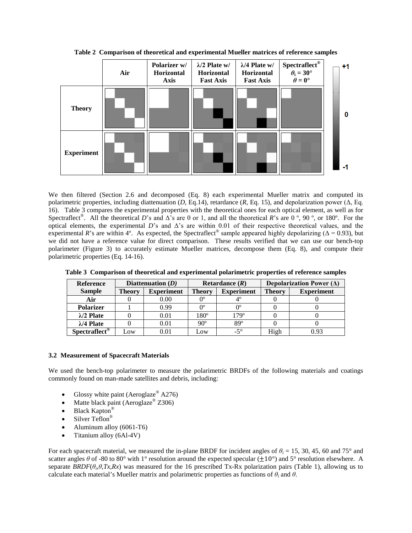<span id="page-9-0"></span>

**Table 2 Comparison of theoretical and experimental Mueller matrices of reference samples**

We then filtered (Section [2.6](#page-5-0) and decomposed (Eq. 8) each experimental Mueller matrix and computed its polarimetric properties, including diattenuation (*D*, Eq.14), retardance (*R*, Eq. 15), and depolarization power (Δ, Eq. 16). [Table 3](#page-9-1) compares the experimental properties with the theoretical ones for each optical element, as well as for Spectraflect®. All the theoretical *D*'s and Δ's are 0 or 1, and all the theoretical *R*'s are 0 º, 90 º, or 180º. For the optical elements, the experimental *D*'s and Δ's are within 0.01 of their respective theoretical values, and the experimental *R*'s are within 4°. As expected, the Spectraflect<sup>®</sup> sample appeared highly depolarizing ( $\Delta$  = 0.93), but we did not have a reference value for direct comparison. These results verified that we can use our bench-top polarimeter [\(Figure 3\)](#page-7-0) to accurately estimate Mueller matrices, decompose them (Eq. 8), and compute their polarimetric properties (Eq. 14-16).

| <b>Reference</b>           | Diattenuation $(D)$ |                   | Retardance $(R)$ |                   | Depolarization Power $(\Delta)$ |                   |  |
|----------------------------|---------------------|-------------------|------------------|-------------------|---------------------------------|-------------------|--|
| <b>Sample</b>              | <b>Theory</b>       | <b>Experiment</b> | Theory           | <b>Experiment</b> | <b>Theory</b>                   | <b>Experiment</b> |  |
| Air                        |                     | 0.00              | O٥               |                   |                                 |                   |  |
| <b>Polarizer</b>           |                     | 0.99              | O٥               | 0°                |                                 |                   |  |
| $\lambda$ /2 Plate         |                     | 0.01              | 180°             | 179°              |                                 |                   |  |
| $\lambda$ /4 Plate         |                     | 0.01              | $90^\circ$       | 89°               |                                 |                   |  |
| $Spectraffect^{\circledR}$ | Low                 | 0.01              | Low              | $-5^\circ$        | High                            | 0.93              |  |

<span id="page-9-1"></span>**Table 3 Comparison of theoretical and experimental polarimetric properties of reference samples**

#### **3.2 Measurement of Spacecraft Materials**

We used the bench-top polarimeter to measure the polarimetric BRDFs of the following materials and coatings commonly found on man-made satellites and debris, including:

- Glossy white paint (Aeroglaze<sup>®</sup> A276)
- Matte black paint (Aeroglaze<sup>®</sup> Z306)
- Black Kapton®
- Silver Teflon®
- Aluminum alloy (6061-T6)
- Titanium alloy (6Al-4V)

For each spacecraft material, we measured the in-plane BRDF for incident angles of  $\theta$ <sup>*i*</sup> = 15, 30, 45, 60 and 75° and scatter angles  $\theta$  of -80 to 80° with 1° resolution around the expected specular ( $\pm 10$ °) and 5° resolution elsewhere. A separate  $BRDF(\theta_i, \theta, Tx, Rx)$  was measured for the 16 prescribed Tx-Rx polarization pairs [\(Table 1\)](#page-7-1), allowing us to calculate each material's Mueller matrix and polarimetric properties as functions of  $\theta_i$  and  $\theta$ .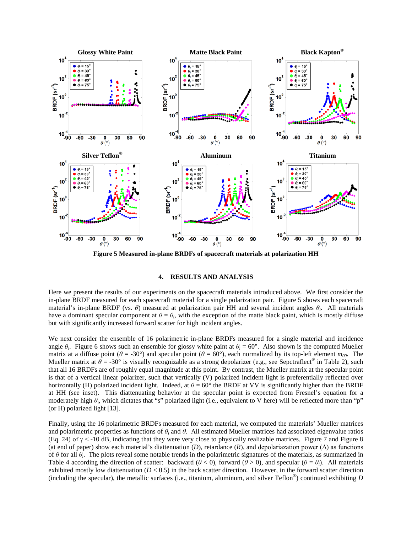

**Figure 5 Measured in-plane BRDFs of spacecraft materials at polarization HH**

#### **4. RESULTS AND ANALYSIS**

<span id="page-10-0"></span>Here we present the results of our experiments on the spacecraft materials introduced above. We first consider the in-plane BRDF measured for each spacecraft material for a single polarization pair. [Figure 5](#page-10-0) shows each spacecraft material's in-plane BRDF (vs. *θ*) measured at polarization pair HH and several incident angles *θi*. All materials have a dominant specular component at  $\theta = \theta$ *i*, with the exception of the matte black paint, which is mostly diffuse but with significantly increased forward scatter for high incident angles.

We next consider the ensemble of 16 polarimetric in-plane BRDFs measured for a single material and incidence angle  $\theta_i$ . [Figure 6](#page-11-0) shows such an ensemble for glossy white paint at  $\theta_i = 60^\circ$ . Also shown is the computed Mueller matrix at a diffuse point ( $\theta = -30^{\circ}$ ) and specular point ( $\theta = 60^{\circ}$ ), each normalized by its top-left element  $m_{00}$ . The Mueller matrix at  $\theta = -30^{\circ}$  is visually recognizable as a strong depolarizer (e.g., see Sepctraflect<sup>®</sup> in [Table 2\)](#page-9-0), such that all 16 BRDFs are of roughly equal magnitude at this point. By contrast, the Mueller matrix at the specular point is that of a vertical linear polarizer, such that vertically (V) polarized incident light is preferentially reflected over horizontally (H) polarized incident light. Indeed, at  $\theta = 60^\circ$  the BRDF at VV is significantly higher than the BRDF at HH (see inset). This diattenuating behavior at the specular point is expected from Fresnel's equation for a moderately high *θi*, which dictates that "s" polarized light (i.e., equivalent to V here) will be reflected more than "p" (or H) polarized light [13].

Finally, using the 16 polarimetric BRDFs measured for each material, we computed the materials' Mueller matrices and polarimetric properties as functions of *θ<sup>i</sup>* and *θ*. All estimated Mueller matrices had associated eigenvalue ratios (Eq. 24) of  $\gamma$  < -10 dB, indicating that they were very close to physically realizable matrices. [Figure 7](#page-14-0) and [Figure 8](#page-15-0) (at end of paper) show each material's diattenuation  $(D)$ , retardance  $(R)$ , and depolariazation power  $(\Delta)$  as functions of *θ* for all *θi*. The plots reveal some notable trends in the polarimetric signatures of the materials, as summarized in [Table 4](#page-11-1) according the direction of scatter: backward ( $\theta$  < 0), forward ( $\theta$  > 0), and specular ( $\theta = \theta_i$ ). All materials exhibited mostly low diattenuation  $(D < 0.5)$  in the back scatter direction. However, in the forward scatter direction (including the specular), the metallic surfaces (i.e., titanium, aluminum, and silver Teflon®) continued exhibiting *D*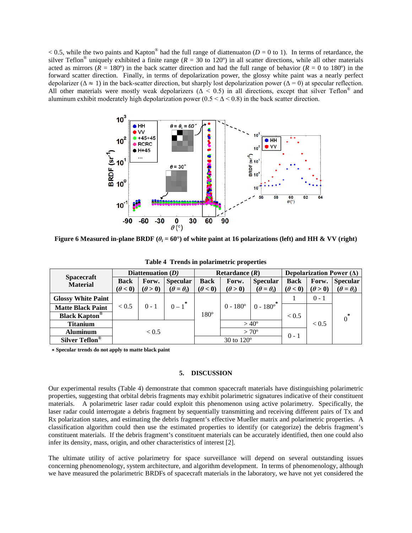$< 0.5$ , while the two paints and Kapton<sup>®</sup> had the full range of diattenuaton (*D* = 0 to 1). In terms of retardance, the silver Teflon<sup>®</sup> uniquely exhibited a finite range  $(R = 30 \text{ to } 120^{\circ})$  in all scatter directions, while all other materials acted as mirrors ( $R = 180^\circ$ ) in the back scatter direction and had the full range of behavior ( $R = 0$  to 180<sup>o</sup>) in the forward scatter direction. Finally, in terms of depolarization power, the glossy white paint was a nearly perfect depolarizer ( $\Delta \approx 1$ ) in the back-scatter direction, but sharply lost depolarization power ( $\Delta = 0$ ) at specular reflection. All other materials were mostly weak depolarizers ( $\Delta < 0.5$ ) in all directions, except that silver Teflon<sup>®</sup> and aluminum exhibit moderately high depolarization power  $(0.5 < \Delta < 0.8)$  in the back scatter direction.



<span id="page-11-0"></span>**Figure 6 Measured in-plane BRDF** ( $\theta$ <sup>*i*</sup> = 60°) of white paint at 16 polarizations (left) and HH & VV (right)

<span id="page-11-1"></span>

| <b>Spacecraft</b><br><b>Material</b>        | Diattenuation $(D)$ |                | Retardance $(R)$      |                   |                   | Depolarization Power $(\Delta)$ |                |                |                       |
|---------------------------------------------|---------------------|----------------|-----------------------|-------------------|-------------------|---------------------------------|----------------|----------------|-----------------------|
|                                             | <b>Back</b>         | Forw.          | <b>Specular</b>       | <b>Back</b>       | Forw.             | <b>Specular</b>                 | <b>Back</b>    | Forw.          | <b>Specular</b>       |
|                                             | $(\theta < 0)$      | $(\theta > 0)$ | $(\theta = \theta_i)$ | $(\theta < 0)$    | $(\theta > 0)$    | $(\theta = \theta_i)$           | $(\theta < 0)$ | $(\theta > 0)$ | $(\theta = \theta_i)$ |
| <b>Glossy White Paint</b>                   |                     |                |                       |                   |                   | $\ast$                          |                | $0 - 1$        |                       |
| <b>Matte Black Paint</b>                    | ${}_{< 0.5}$        | $0 - 1$        | $0 - 1$               |                   | $0 - 180^{\circ}$ | $0 - 180^\circ$                 |                |                |                       |
| <b>Black Kapton</b> <sup><sup>®</sup></sup> |                     |                |                       | $180^\circ$       |                   |                                 | ${}_{< 0.5}$   |                | $\ast$<br>$\theta$    |
| <b>Titanium</b>                             |                     |                |                       |                   |                   | $> 40^{\circ}$                  |                | ${}_{< 0.5}$   |                       |
| <b>Aluminum</b>                             |                     | < 0.5          |                       |                   |                   | $>70^{\circ}$                   | $0 - 1$        |                |                       |
| Silver Teflon <sup>®</sup>                  |                     |                |                       | 30 to $120^\circ$ |                   |                                 |                |                |                       |

**Table 4 Trends in polarimetric properties**

**\* Specular trends do not apply to matte black paint**

## **5. DISCUSSION**

Our experimental results [\(Table 4\)](#page-11-1) demonstrate that common spacecraft materials have distinguishing polarimetric properties, suggesting that orbital debris fragments may exhibit polarimetric signatures indicative of their constituent materials. A polarimetric laser radar could exploit this phenomenon using active polarimetry. Specifically, the laser radar could interrogate a debris fragment by sequentially transmitting and receiving different pairs of Tx and Rx polarization states, and estimating the debris fragment's effective Mueller matrix and polarimetric properties. A classification algorithm could then use the estimated properties to identify (or categorize) the debris fragment's constituent materials. If the debris fragment's constituent materials can be accurately identified, then one could also infer its density, mass, origin, and other characteristics of interest [2].

The ultimate utility of active polarimetry for space surveillance will depend on several outstanding issues concerning phenomenology, system architecture, and algorithm development. In terms of phenomenology, although we have measured the polarimetric BRDFs of spacecraft materials in the laboratory, we have not yet considered the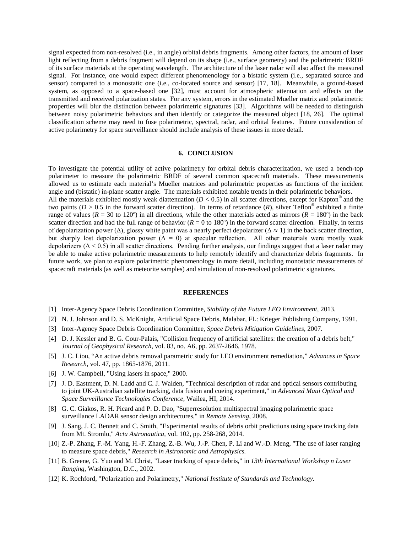signal expected from non-resolved (i.e., in angle) orbital debris fragments. Among other factors, the amount of laser light reflecting from a debris fragment will depend on its shape (i.e., surface geometry) and the polarimetric BRDF of its surface materials at the operating wavelength. The architecture of the laser radar will also affect the measured signal. For instance, one would expect different phenomenology for a bistatic system (i.e., separated source and sensor) compared to a monostatic one (i.e., co-located source and sensor) [17, 18]. Meanwhile, a ground-based system, as opposed to a space-based one [32], must account for atmospheric attenuation and effects on the transmitted and received polarization states. For any system, errors in the estimated Mueller matrix and polarimetric properties will blur the distinction between polarimetric signatures [33]. Algorithms will be needed to distinguish between noisy polarimetric behaviors and then identify or categorize the measured object [18, 26]. The optimal classification scheme may need to fuse polarimetric, spectral, radar, and orbital features. Future consideration of active polarimetry for space surveillance should include analysis of these issues in more detail.

#### **6. CONCLUSION**

To investigate the potential utility of active polarimetry for orbital debris characterization, we used a bench-top polarimeter to measure the polarimetric BRDF of several common spacecraft materials. These measurements allowed us to estimate each material's Mueller matrices and polarimetric properties as functions of the incident angle and (bistatic) in-plane scatter angle. The materials exhibited notable trends in their polarimetric behaviors. All the materials exhibited mostly weak diattenuation  $(D < 0.5)$  in all scatter directions, except for Kapton<sup>®</sup> and the two paints ( $D > 0.5$  in the forward scatter direction). In terms of retardance ( $R$ ), silver Teflon<sup>®</sup> exhibited a finite range of values ( $R = 30$  to 120<sup>o</sup>) in all directions, while the other materials acted as mirrors ( $R = 180^\circ$ ) in the back scatter direction and had the full range of behavior ( $R = 0$  to 180 $\degree$ ) in the forward scatter direction. Finally, in terms of depolarization power ( $\Delta$ ), glossy white paint was a nearly perfect depolarizer ( $\Delta \approx 1$ ) in the back scatter direction, but sharply lost depolarization power ( $\overrightarrow{\Delta}$  = 0) at specular reflection. All other materials were mostly weak depolarizers ( $\Delta$  < 0.5) in all scatter directions. Pending further analysis, our findings suggest that a laser radar may be able to make active polarimetric measurements to help remotely identify and characterize debris fragments. In future work, we plan to explore polarimetric phenomenology in more detail, including monostatic measurements of spacecraft materials (as well as meteorite samples) and simulation of non-resolved polarimetric signatures.

#### **REFERENCES**

- [1] Inter-Agency Space Debris Coordination Committee, *Stability of the Future LEO Environment,* 2013.
- [2] N. J. Johnson and D. S. McKnight, Artificial Space Debris, Malabar, FL: Krieger Publishing Company, 1991.
- [3] Inter-Agency Space Debris Coordination Committee, *Space Debris Mitigation Guidelines,* 2007.
- [4] D. J. Kessler and B. G. Cour-Palais, "Collision frequency of artificial satellites: the creation of a debris belt," *Journal of Geophysical Research,* vol. 83, no. A6, pp. 2637-2646, 1978.
- [5] J. C. Liou, "An active debris removal parametric study for LEO environment remediation," *Advances in Space Research,* vol. 47, pp. 1865-1876, 2011.
- [6] J. W. Campbell, "Using lasers in space," 2000.
- [7] J. D. Eastment, D. N. Ladd and C. J. Walden, "Technical description of radar and optical sensors contributing to joint UK-Australian satellite tracking, data fusion and cueing experiment," in *Advanced Maui Optical and Space Surveillance Technologies Conference*, Wailea, HI, 2014.
- [8] G. C. Giakos, R. H. Picard and P. D. Dao, "Superresolution multispectral imaging polarimetric space surveillance LADAR sensor design architectures," in *Remote Sensing*, 2008.
- [9] J. Sang, J. C. Bennett and C. Smith, "Experimental results of debris orbit predictions using space tracking data from Mt. Stromlo," *Acta Astronautica,* vol. 102, pp. 258-268, 2014.
- [10] Z.-P. Zhang, F.-M. Yang, H.-F. Zhang, Z.-B. Wu, J.-P. Chen, P. Li and W.-D. Meng, "The use of laser ranging to measure space debris," *Research in Astronomic and Astrophysics.*
- [11] B. Greene, G. Yuo and M. Christ, "Laser tracking of space debris," in *13th International Workshop n Laser Ranging*, Washington, D.C., 2002.
- [12] K. Rochford, "Polarization and Polarimetry," *National Institute of Standards and Technology.*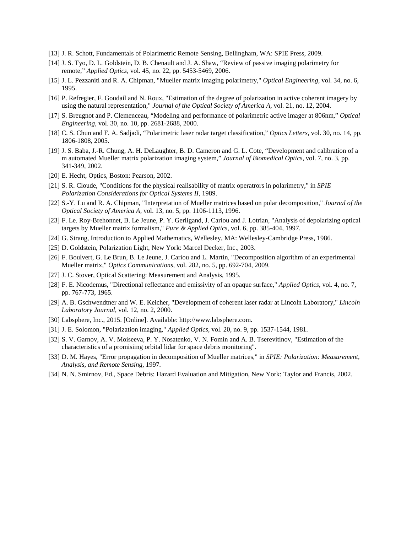- [13] J. R. Schott, Fundamentals of Polarimetric Remote Sensing, Bellingham, WA: SPIE Press, 2009.
- [14] J. S. Tyo, D. L. Goldstein, D. B. Chenault and J. A. Shaw, "Review of passive imaging polarimetry for remote," *Applied Optics,* vol. 45, no. 22, pp. 5453-5469, 2006.
- [15] J. L. Pezzaniti and R. A. Chipman, "Mueller matrix imaging polarimetry," *Optical Engineering,* vol. 34, no. 6, 1995.
- [16] P. Refregier, F. Goudail and N. Roux, "Estimation of the degree of polarization in active coherent imagery by using the natural representation," *Journal of the Optical Society of America A,* vol. 21, no. 12, 2004.
- [17] S. Breugnot and P. Clemenceau, "Modeling and performance of polarimetric active imager at 806nm," *Optical Engineering,* vol. 30, no. 10, pp. 2681-2688, 2000.
- [18] C. S. Chun and F. A. Sadjadi, "Polarimetric laser radar target classification," *Optics Letters,* vol. 30, no. 14, pp. 1806-1808, 2005.
- [19] J. S. Baba, J.-R. Chung, A. H. DeLaughter, B. D. Cameron and G. L. Cote, "Development and calibration of a m automated Mueller matrix polarization imaging system," *Journal of Biomedical Optics,* vol. 7, no. 3, pp. 341-349, 2002.
- [20] E. Hecht, Optics, Boston: Pearson, 2002.
- [21] S. R. Cloude, "Conditions for the physical realisability of matrix operatrors in polarimetry," in *SPIE Polarization Considerations for Optical Systems II*, 1989.
- [22] S.-Y. Lu and R. A. Chipman, "Interpretation of Mueller matrices based on polar decomposition," *Journal of the Optical Society of America A,* vol. 13, no. 5, pp. 1106-1113, 1996.
- [23] F. Le. Roy-Brehonnet, B. Le Jeune, P. Y. Gerligand, J. Cariou and J. Lotrian, "Analysis of depolarizing optical targets by Mueller matrix formalism," *Pure & Applied Optics,* vol. 6, pp. 385-404, 1997.
- [24] G. Strang, Introduction to Applied Mathematics, Wellesley, MA: Wellesley-Cambridge Press, 1986.
- [25] D. Goldstein, Polarization Light, New York: Marcel Decker, Inc., 2003.
- [26] F. Boulvert, G. Le Brun, B. Le Jeune, J. Cariou and L. Martin, "Decomposition algorithm of an experimental Mueller matrix," *Optics Communications,* vol. 282, no. 5, pp. 692-704, 2009.
- [27] J. C. Stover, Optical Scattering: Measurement and Analysis, 1995.
- [28] F. E. Nicodemus, "Directional reflectance and emissivity of an opaque surface," *Applied Optics,* vol. 4, no. 7, pp. 767-773, 1965.
- [29] A. B. Gschwendtner and W. E. Keicher, "Development of coherent laser radar at Lincoln Laboratory," *Lincoln Laboratory Journal,* vol. 12, no. 2, 2000.
- [30] Labsphere, Inc., 2015. [Online]. Available: http://www.labsphere.com.
- [31] J. E. Solomon, "Polarization imaging," *Applied Optics,* vol. 20, no. 9, pp. 1537-1544, 1981.
- [32] S. V. Garnov, A. V. Moiseeva, P. Y. Nosatenko, V. N. Fomin and A. B. Tserevitinov, "Estimation of the characteristics of a promisiing orbital lidar for space debris monitoring".
- [33] D. M. Hayes, "Error propagation in decomposition of Mueller matrices," in *SPIE: Polarization: Measurement, Analysis, and Remote Sensing*, 1997.
- [34] N. N. Smirnov, Ed., Space Debris: Hazard Evaluation and Mitigation, New York: Taylor and Francis, 2002.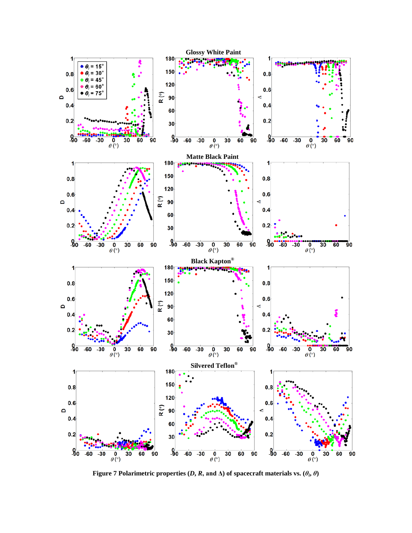

<span id="page-14-0"></span>**Figure 7 Polarimetric properties (***D***,** *R***, and**  $\Delta$ **) of spacecraft materials vs.**  $(\theta_i, \theta)$